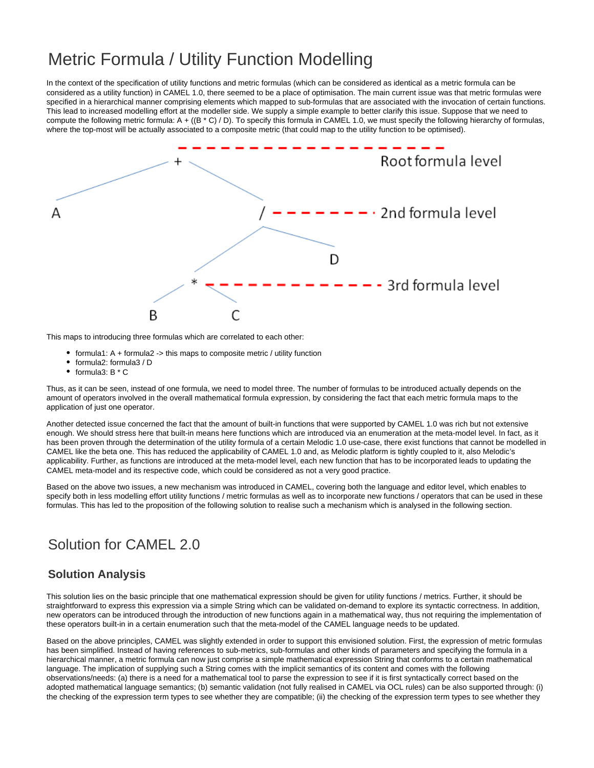# Metric Formula / Utility Function Modelling

In the context of the specification of utility functions and metric formulas (which can be considered as identical as a metric formula can be considered as a utility function) in CAMEL 1.0, there seemed to be a place of optimisation. The main current issue was that metric formulas were specified in a hierarchical manner comprising elements which mapped to sub-formulas that are associated with the invocation of certain functions. This lead to increased modelling effort at the modeller side. We supply a simple example to better clarify this issue. Suppose that we need to compute the following metric formula:  $A + ((B * C) / D)$ . To specify this formula in CAMEL 1.0, we must specify the following hierarchy of formulas, where the top-most will be actually associated to a composite metric (that could map to the utility function to be optimised).



This maps to introducing three formulas which are correlated to each other:

- formula1:  $A + formula2 -\gt$  this maps to composite metric / utility function
- formula2: formula3 / D
- $\bullet$  formula3: B  $*$  C

Thus, as it can be seen, instead of one formula, we need to model three. The number of formulas to be introduced actually depends on the amount of operators involved in the overall mathematical formula expression, by considering the fact that each metric formula maps to the application of just one operator.

Another detected issue concerned the fact that the amount of built-in functions that were supported by CAMEL 1.0 was rich but not extensive enough. We should stress here that built-in means here functions which are introduced via an enumeration at the meta-model level. In fact, as it has been proven through the determination of the utility formula of a certain Melodic 1.0 use-case, there exist functions that cannot be modelled in CAMEL like the beta one. This has reduced the applicability of CAMEL 1.0 and, as Melodic platform is tightly coupled to it, also Melodic's applicability. Further, as functions are introduced at the meta-model level, each new function that has to be incorporated leads to updating the CAMEL meta-model and its respective code, which could be considered as not a very good practice.

Based on the above two issues, a new mechanism was introduced in CAMEL, covering both the language and editor level, which enables to specify both in less modelling effort utility functions / metric formulas as well as to incorporate new functions / operators that can be used in these formulas. This has led to the proposition of the following solution to realise such a mechanism which is analysed in the following section.

## Solution for CAMEL 2.0

### **Solution Analysis**

This solution lies on the basic principle that one mathematical expression should be given for utility functions / metrics. Further, it should be straightforward to express this expression via a simple String which can be validated on-demand to explore its syntactic correctness. In addition, new operators can be introduced through the introduction of new functions again in a mathematical way, thus not requiring the implementation of these operators built-in in a certain enumeration such that the meta-model of the CAMEL language needs to be updated.

Based on the above principles, CAMEL was slightly extended in order to support this envisioned solution. First, the expression of metric formulas has been simplified. Instead of having references to sub-metrics, sub-formulas and other kinds of parameters and specifying the formula in a hierarchical manner, a metric formula can now just comprise a simple mathematical expression String that conforms to a certain mathematical language. The implication of supplying such a String comes with the implicit semantics of its content and comes with the following observations/needs: (a) there is a need for a mathematical tool to parse the expression to see if it is first syntactically correct based on the adopted mathematical language semantics; (b) semantic validation (not fully realised in CAMEL via OCL rules) can be also supported through: (i) the checking of the expression term types to see whether they are compatible; (ii) the checking of the expression term types to see whether they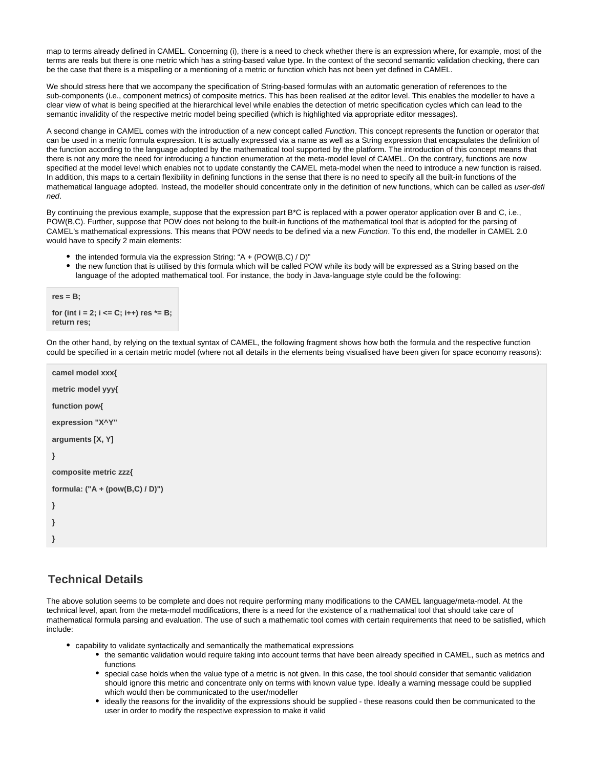map to terms already defined in CAMEL. Concerning (i), there is a need to check whether there is an expression where, for example, most of the terms are reals but there is one metric which has a string-based value type. In the context of the second semantic validation checking, there can be the case that there is a mispelling or a mentioning of a metric or function which has not been yet defined in CAMEL.

We should stress here that we accompany the specification of String-based formulas with an automatic generation of references to the sub-components (i.e., component metrics) of composite metrics. This has been realised at the editor level. This enables the modeller to have a clear view of what is being specified at the hierarchical level while enables the detection of metric specification cycles which can lead to the semantic invalidity of the respective metric model being specified (which is highlighted via appropriate editor messages).

A second change in CAMEL comes with the introduction of a new concept called Function. This concept represents the function or operator that can be used in a metric formula expression. It is actually expressed via a name as well as a String expression that encapsulates the definition of the function according to the language adopted by the mathematical tool supported by the platform. The introduction of this concept means that there is not any more the need for introducing a function enumeration at the meta-model level of CAMEL. On the contrary, functions are now specified at the model level which enables not to update constantly the CAMEL meta-model when the need to introduce a new function is raised. In addition, this maps to a certain flexibility in defining functions in the sense that there is no need to specify all the built-in functions of the mathematical language adopted. Instead, the modeller should concentrate only in the definition of new functions, which can be called as user-defi ned.

By continuing the previous example, suppose that the expression part B\*C is replaced with a power operator application over B and C, i.e., POW(B,C). Further, suppose that POW does not belong to the built-in functions of the mathematical tool that is adopted for the parsing of CAMEL's mathematical expressions. This means that POW needs to be defined via a new Function. To this end, the modeller in CAMEL 2.0 would have to specify 2 main elements:

- $\bullet$  the intended formula via the expression String: "A + (POW(B,C) / D)"
- the new function that is utilised by this formula which will be called POW while its body will be expressed as a String based on the language of the adopted mathematical tool. For instance, the body in Java-language style could be the following:

```
res = B;
for (int i = 2; i <= C; i++) res *= B;
return res;
```
On the other hand, by relying on the textual syntax of CAMEL, the following fragment shows how both the formula and the respective function could be specified in a certain metric model (where not all details in the elements being visualised have been given for space economy reasons):

```
camel model xxx{
metric model yyy{
function pow{
expression "X^Y"
arguments [X, Y]
}
composite metric zzz{
formula: ("A + (pow(B,C) / D)")
}
}
}
```
### **Technical Details**

The above solution seems to be complete and does not require performing many modifications to the CAMEL language/meta-model. At the technical level, apart from the meta-model modifications, there is a need for the existence of a mathematical tool that should take care of mathematical formula parsing and evaluation. The use of such a mathematic tool comes with certain requirements that need to be satisfied, which include:

- capability to validate syntactically and semantically the mathematical expressions
	- the semantic validation would require taking into account terms that have been already specified in CAMEL, such as metrics and functions
	- special case holds when the value type of a metric is not given. In this case, the tool should consider that semantic validation should ignore this metric and concentrate only on terms with known value type. Ideally a warning message could be supplied which would then be communicated to the user/modeller
	- ideally the reasons for the invalidity of the expressions should be supplied these reasons could then be communicated to the user in order to modify the respective expression to make it valid